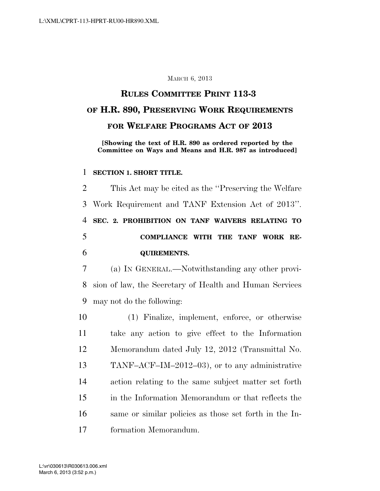### MARCH 6, 2013

# **RULES COMMITTEE PRINT 113-3 OF H.R. 890, PRESERVING WORK REQUIREMENTS FOR WELFARE PROGRAMS ACT OF 2013**

**[Showing the text of H.R. 890 as ordered reported by the Committee on Ways and Means and H.R. 987 as introduced]** 

#### **SECTION 1. SHORT TITLE.**

 This Act may be cited as the ''Preserving the Welfare Work Requirement and TANF Extension Act of 2013''. **SEC. 2. PROHIBITION ON TANF WAIVERS RELATING TO COMPLIANCE WITH THE TANF WORK RE-QUIREMENTS.** 

 (a) IN GENERAL.—Notwithstanding any other provi- sion of law, the Secretary of Health and Human Services may not do the following:

 (1) Finalize, implement, enforce, or otherwise take any action to give effect to the Information Memorandum dated July 12, 2012 (Transmittal No. TANF–ACF–IM–2012–03), or to any administrative action relating to the same subject matter set forth in the Information Memorandum or that reflects the same or similar policies as those set forth in the In-formation Memorandum.

March 6, 2013 (3:52 p.m.) L:\vr\030613\R030613.006.xml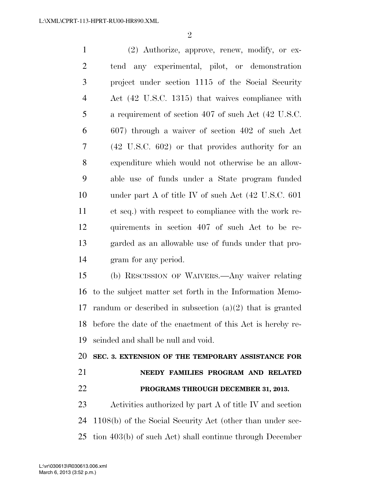$\mathfrak{D}$ 

 (2) Authorize, approve, renew, modify, or ex- tend any experimental, pilot, or demonstration project under section 1115 of the Social Security Act (42 U.S.C. 1315) that waives compliance with a requirement of section 407 of such Act (42 U.S.C. 607) through a waiver of section 402 of such Act (42 U.S.C. 602) or that provides authority for an expenditure which would not otherwise be an allow- able use of funds under a State program funded under part A of title IV of such Act (42 U.S.C. 601 et seq.) with respect to compliance with the work re- quirements in section 407 of such Act to be re- garded as an allowable use of funds under that pro-gram for any period.

 (b) RESCISSION OF WAIVERS.—Any waiver relating to the subject matter set forth in the Information Memo- randum or described in subsection (a)(2) that is granted before the date of the enactment of this Act is hereby re-scinded and shall be null and void.

**SEC. 3. EXTENSION OF THE TEMPORARY ASSISTANCE FOR** 

 **NEEDY FAMILIES PROGRAM AND RELATED PROGRAMS THROUGH DECEMBER 31, 2013.** 

 Activities authorized by part A of title IV and section 1108(b) of the Social Security Act (other than under sec-tion 403(b) of such Act) shall continue through December